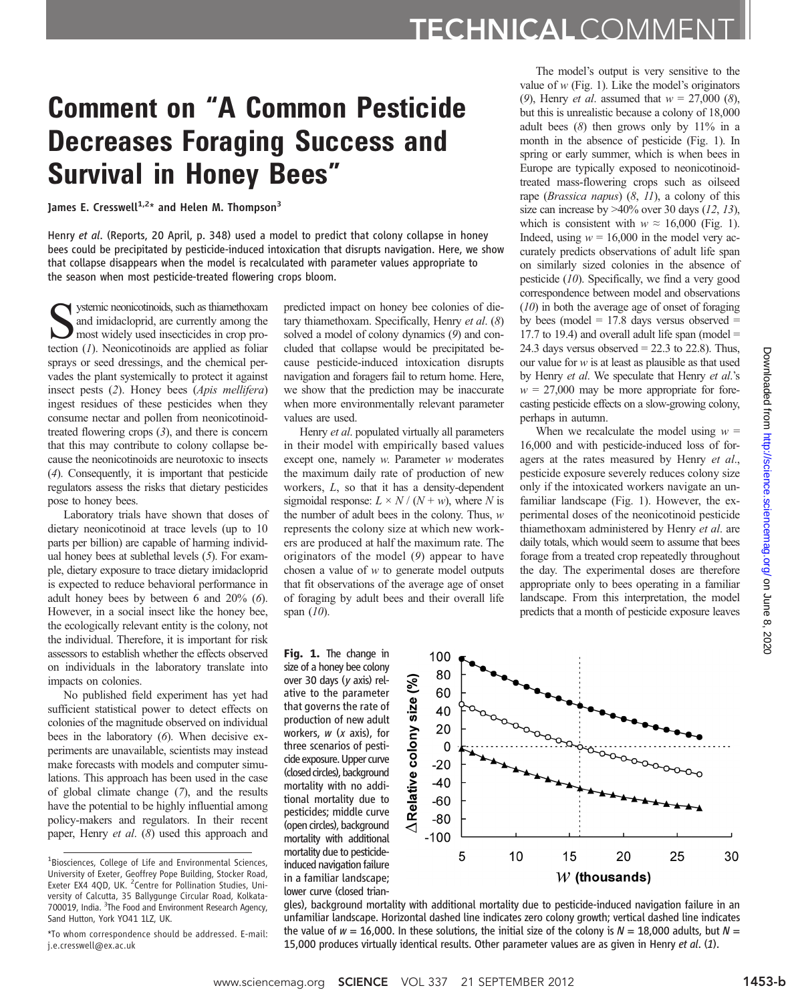## Comment on "A Common Pesticide Decreases Foraging Success and Survival in Honey Bees"

James E. Cresswell<sup>1,2\*</sup> and Helen M. Thompson<sup>3</sup>

Henry et al. (Reports, 20 April, p. 348) used a model to predict that colony collapse in honey bees could be precipitated by pesticide-induced intoxication that disrupts navigation. Here, we show that collapse disappears when the model is recalculated with parameter values appropriate to the season when most pesticide-treated flowering crops bloom.

Systemic neonicotinoids, such as thiamethoxam and imidacloprid, are currently among the most widely used insecticides in crop protection (1). Neonicotinoids are applied as foliar sprays or seed dressings, and the chemical pervades the plant systemically to protect it against insect pests (2). Honey bees (Apis mellifera) ingest residues of these pesticides when they consume nectar and pollen from neonicotinoidtreated flowering crops  $(3)$ , and there is concern that this may contribute to colony collapse because the neonicotinoids are neurotoxic to insects (4). Consequently, it is important that pesticide regulators assess the risks that dietary pesticides pose to honey bees.

Laboratory trials have shown that doses of dietary neonicotinoid at trace levels (up to 10 parts per billion) are capable of harming individual honey bees at sublethal levels (5). For example, dietary exposure to trace dietary imidacloprid is expected to reduce behavioral performance in adult honey bees by between 6 and 20% (6). However, in a social insect like the honey bee, the ecologically relevant entity is the colony, not the individual. Therefore, it is important for risk assessors to establish whether the effects observed on individuals in the laboratory translate into impacts on colonies.

No published field experiment has yet had sufficient statistical power to detect effects on colonies of the magnitude observed on individual bees in the laboratory (6). When decisive experiments are unavailable, scientists may instead make forecasts with models and computer simulations. This approach has been used in the case of global climate change (7), and the results have the potential to be highly influential among policy-makers and regulators. In their recent paper, Henry et al. (8) used this approach and predicted impact on honey bee colonies of dietary thiamethoxam. Specifically, Henry et al. (8) solved a model of colony dynamics (9) and concluded that collapse would be precipitated because pesticide-induced intoxication disrupts navigation and foragers fail to return home. Here, we show that the prediction may be inaccurate when more environmentally relevant parameter values are used.

Henry et al. populated virtually all parameters in their model with empirically based values except one, namely w. Parameter w moderates the maximum daily rate of production of new workers, L, so that it has a density-dependent sigmoidal response:  $L \times N / (N + w)$ , where N is the number of adult bees in the colony. Thus,  $w$ represents the colony size at which new workers are produced at half the maximum rate. The originators of the model (9) appear to have chosen a value of  $w$  to generate model outputs that fit observations of the average age of onset of foraging by adult bees and their overall life span  $(10)$ .

The model's output is very sensitive to the value of  $w$  (Fig. 1). Like the model's originators (9), Henry *et al.* assumed that  $w = 27,000$  (8), but this is unrealistic because a colony of 18,000 adult bees  $(8)$  then grows only by  $11\%$  in a month in the absence of pesticide (Fig. 1). In spring or early summer, which is when bees in Europe are typically exposed to neonicotinoidtreated mass-flowering crops such as oilseed rape (*Brassica napus*)  $(8, 11)$ , a colony of this size can increase by  $>40\%$  over 30 days (12, 13), which is consistent with  $w \approx 16,000$  (Fig. 1). Indeed, using  $w = 16,000$  in the model very accurately predicts observations of adult life span on similarly sized colonies in the absence of pesticide (10). Specifically, we find a very good correspondence between model and observations (10) in both the average age of onset of foraging by bees (model  $= 17.8$  days versus observed  $=$ 17.7 to 19.4) and overall adult life span (model  $=$ 24.3 days versus observed  $= 22.3$  to 22.8). Thus, our value for  $w$  is at least as plausible as that used by Henry et al. We speculate that Henry et al.'s  $w = 27,000$  may be more appropriate for forecasting pesticide effects on a slow-growing colony, perhaps in autumn.

When we recalculate the model using  $w =$ 16,000 and with pesticide-induced loss of foragers at the rates measured by Henry et al., pesticide exposure severely reduces colony size only if the intoxicated workers navigate an unfamiliar landscape (Fig. 1). However, the experimental doses of the neonicotinoid pesticide thiamethoxam administered by Henry et al. are daily totals, which would seem to assume that bees forage from a treated crop repeatedly throughout the day. The experimental doses are therefore appropriate only to bees operating in a familiar landscape. From this interpretation, the model predicts that a month of pesticide exposure leaves

size of a honey bee colony over 30 days (y axis) relative to the parameter that governs the rate of production of new adult workers,  $w$  ( $x$  axis), for three scenarios of pesticide exposure. Upper curve (closed circles), background mortality with no additional mortality due to pesticides; middle curve (open circles), background mortality with additional mortality due to pesticideinduced navigation failure in a familiar landscape; lower curve (closed trian-

Fig. 1. The change in



gles), background mortality with additional mortality due to pesticide-induced navigation failure in an unfamiliar landscape. Horizontal dashed line indicates zero colony growth; vertical dashed line indicates the value of  $w = 16,000$ . In these solutions, the initial size of the colony is  $N = 18,000$  adults, but  $N =$ 15,000 produces virtually identical results. Other parameter values are as given in Henry et al. (1).

<sup>&</sup>lt;sup>1</sup>Biosciences, College of Life and Environmental Sciences, University of Exeter, Geoffrey Pope Building, Stocker Road, Exeter EX4 4QD, UK. <sup>2</sup> Centre for Pollination Studies, University of Calcutta, 35 Ballygunge Circular Road, Kolkata-700019, India. <sup>3</sup>The Food and Environment Research Agency, Sand Hutton, York YO41 1LZ, UK.

<sup>\*</sup>To whom correspondence should be addressed. E-mail: j.e.cresswell@ex.ac.uk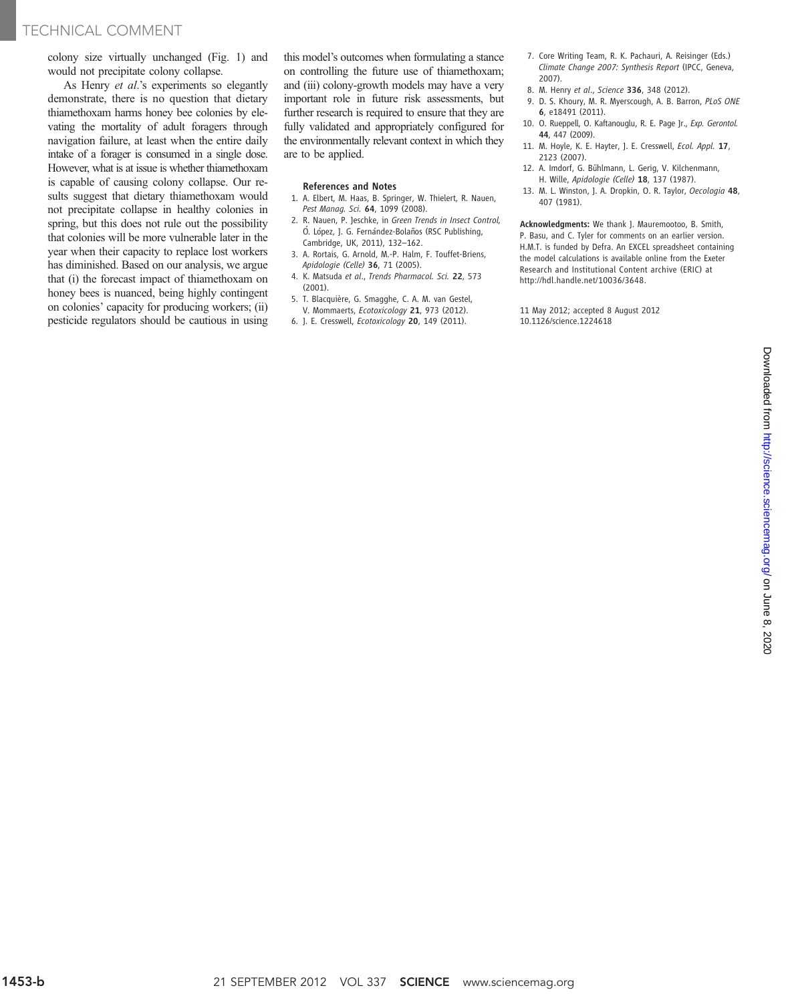## TECHNICAL COMMENT

colony size virtually unchanged (Fig. 1) and would not precipitate colony collapse.

As Henry et al.'s experiments so elegantly demonstrate, there is no question that dietary thiamethoxam harms honey bee colonies by elevating the mortality of adult foragers through navigation failure, at least when the entire daily intake of a forager is consumed in a single dose. However, what is at issue is whether thiamethoxam is capable of causing colony collapse. Our results suggest that dietary thiamethoxam would not precipitate collapse in healthy colonies in spring, but this does not rule out the possibility that colonies will be more vulnerable later in the year when their capacity to replace lost workers has diminished. Based on our analysis, we argue that (i) the forecast impact of thiamethoxam on honey bees is nuanced, being highly contingent on colonies' capacity for producing workers; (ii) pesticide regulators should be cautious in using

this model's outcomes when formulating a stance on controlling the future use of thiamethoxam; and (iii) colony-growth models may have a very important role in future risk assessments, but further research is required to ensure that they are fully validated and appropriately configured for the environmentally relevant context in which they are to be applied.

## References and Notes

- 1. A. Elbert, M. Haas, B. Springer, W. Thielert, R. Nauen, Pest Manag. Sci. 64, 1099 (2008).
- 2. R. Nauen, P. Jeschke, in Green Trends in Insect Control, Ó. López, J. G. Fernández-Bolaños (RSC Publishing, Cambridge, UK, 2011), 132*–*162.
- 3. A. Rortais, G. Arnold, M.-P. Halm, F. Touffet-Briens, Apidologie (Celle) 36, 71 (2005).
- 4. K. Matsuda et al., Trends Pharmacol. Sci. 22, 573 (2001).
- 5. T. Blacquière, G. Smagghe, C. A. M. van Gestel, V. Mommaerts, Ecotoxicology 21, 973 (2012).
- 6. J. E. Cresswell, Ecotoxicology 20, 149 (2011).
- 7. Core Writing Team, R. K. Pachauri, A. Reisinger (Eds.) Climate Change 2007: Synthesis Report (IPCC, Geneva, 2007).
- 8. M. Henry et al., Science 336, 348 (2012).
- 9. D. S. Khoury, M. R. Myerscough, A. B. Barron, PLoS ONE 6, e18491 (2011).
- 10. O. Rueppell, O. Kaftanouglu, R. E. Page Jr., Exp. Gerontol. 44, 447 (2009).
- 11. M. Hoyle, K. E. Hayter, J. E. Cresswell, Ecol. Appl. 17, 2123 (2007).
- 12. A. Imdorf, G. Bühlmann, L. Gerig, V. Kilchenmann, H. Wille, Apidologie (Celle) 18, 137 (1987).
- 13. M. L. Winston, J. A. Dropkin, O. R. Taylor, Oecologia 48, 407 (1981).

Acknowledgments: We thank J. Mauremootoo, B. Smith, P. Basu, and C. Tyler for comments on an earlier version. H.M.T. is funded by Defra. An EXCEL spreadsheet containing the model calculations is available online from the Exeter Research and Institutional Content archive (ERIC) at http://hdl.handle.net/10036/3648.

11 May 2012; accepted 8 August 2012 10.1126/science.1224618